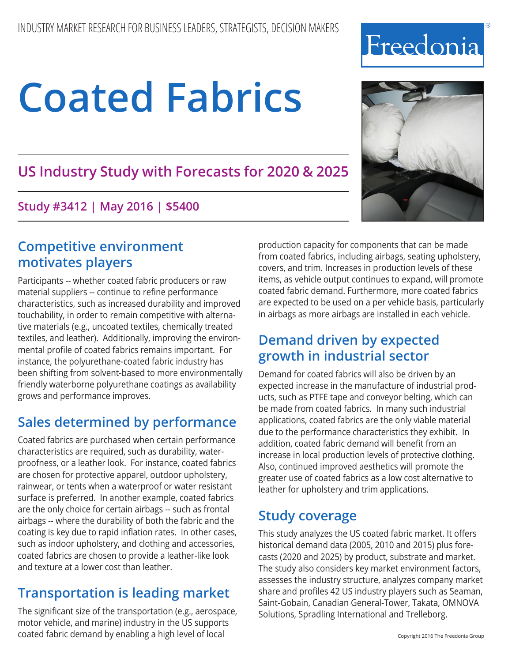# **US Industry Study with Forecasts for 2020 & 2025**

**Study #3412 | May 2016 | \$5400**

# **Competitive environment motivates players**

Participants -- whether coated fabric producers or raw material suppliers -- continue to refine performance characteristics, such as increased durability and improved touchability, in order to remain competitive with alternative materials (e.g., uncoated textiles, chemically treated textiles, and leather). Additionally, improving the environmental profile of coated fabrics remains important. For instance, the polyurethane-coated fabric industry has been shifting from solvent-based to more environmentally friendly waterborne polyurethane coatings as availability grows and performance improves.

# **Sales determined by performance**

Coated fabrics are purchased when certain performance characteristics are required, such as durability, waterproofness, or a leather look. For instance, coated fabrics are chosen for protective apparel, outdoor upholstery, rainwear, or tents when a waterproof or water resistant surface is preferred. In another example, coated fabrics are the only choice for certain airbags -- such as frontal airbags -- where the durability of both the fabric and the coating is key due to rapid inflation rates. In other cases, such as indoor upholstery, and clothing and accessories, coated fabrics are chosen to provide a leather-like look and texture at a lower cost than leather.

# **Transportation is leading market**

The significant size of the transportation (e.g., aerospace, motor vehicle, and marine) industry in the US supports coated fabric demand by enabling a high level of local

production capacity for components that can be made from coated fabrics, including airbags, seating upholstery, covers, and trim. Increases in production levels of these items, as vehicle output continues to expand, will promote coated fabric demand. Furthermore, more coated fabrics are expected to be used on a per vehicle basis, particularly in airbags as more airbags are installed in each vehicle.

# **Demand driven by expected growth in industrial sector**

Demand for coated fabrics will also be driven by an expected increase in the manufacture of industrial products, such as PTFE tape and conveyor belting, which can be made from coated fabrics. In many such industrial applications, coated fabrics are the only viable material due to the performance characteristics they exhibit. In addition, coated fabric demand will benefit from an increase in local production levels of protective clothing. Also, continued improved aesthetics will promote the greater use of coated fabrics as a low cost alternative to leather for upholstery and trim applications.

## **Study coverage**

This study analyzes the US coated fabric market. It offers historical demand data (2005, 2010 and 2015) plus forecasts (2020 and 2025) by product, substrate and market. The study also considers key market environment factors, assesses the industry structure, analyzes company market share and profiles 42 US industry players such as Seaman, Saint-Gobain, Canadian General-Tower, Takata, OMNOVA Solutions, Spradling International and Trelleborg.



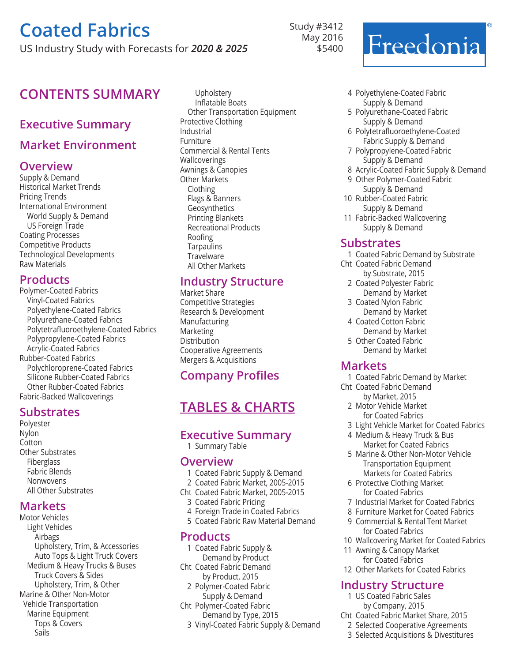US Industry Study with Forecasts for *2020 & 2025*

## **CONTENTS SUMMARY** Upholstery

#### **Executive Summary**

#### **Market Environment**

#### **Overview**

Supply & Demand Historical Market Trends Pricing Trends International Environment World Supply & Demand US Foreign Trade Coating Processes Competitive Products Technological Developments Raw Materials

#### **Products**

Polymer-Coated Fabrics Vinyl-Coated Fabrics Polyethylene-Coated Fabrics Polyurethane-Coated Fabrics Polytetrafluoroethylene-Coated Fabrics Polypropylene-Coated Fabrics Acrylic-Coated Fabrics Rubber-Coated Fabrics Polychloroprene-Coated Fabrics Silicone Rubber-Coated Fabrics Other Rubber-Coated Fabrics Fabric-Backed Wallcoverings

#### **Substrates**

Polyester Nylon Cotton Other Substrates Fiberglass Fabric Blends **Nonwovens** All Other Substrates

#### **Markets**

Motor Vehicles Light Vehicles Airbags Upholstery, Trim, & Accessories Auto Tops & Light Truck Covers Medium & Heavy Trucks & Buses Truck Covers & Sides Upholstery, Trim, & Other Marine & Other Non-Motor Vehicle Transportation Marine Equipment Tops & Covers Sails

Inflatable Boats Other Transportation Equipment Protective Clothing Industrial Furniture Commercial & Rental Tents Wallcoverings Awnings & Canopies Other Markets Clothing Flags & Banners Geosynthetics Printing Blankets Recreational Products Roofing **Tarpaulins Travelware** All Other Markets

#### **Industry Structure**

Market Share Competitive Strategies Research & Development Manufacturing Marketing Distribution Cooperative Agreements Mergers & Acquisitions

### **Company Profiles**

## **Tables & Charts**

#### **Executive Summary**

1 Summary Table

#### **Overview**

- 1 Coated Fabric Supply & Demand
- 2 Coated Fabric Market, 2005-2015
- Cht Coated Fabric Market, 2005-2015
- 3 Coated Fabric Pricing
- 4 Foreign Trade in Coated Fabrics
- 5 Coated Fabric Raw Material Demand

#### **Products**

- 1 Coated Fabric Supply & Demand by Product Cht Coated Fabric Demand
- by Product, 2015
- 2 Polymer-Coated Fabric Supply & Demand
- Cht Polymer-Coated Fabric Demand by Type, 2015
	- 3 Vinyl-Coated Fabric Supply & Demand
		-

Study #3412 May 2016 \$5400



- 4 Polyethylene-Coated Fabric Supply & Demand
- 5 Polyurethane-Coated Fabric Supply & Demand
- 6 Polytetrafluoroethylene-Coated Fabric Supply & Demand
- 7 Polypropylene-Coated Fabric Supply & Demand
- 8 Acrylic-Coated Fabric Supply & Demand
- 9 Other Polymer-Coated Fabric Supply & Demand
- 10 Rubber-Coated Fabric Supply & Demand
- 11 Fabric-Backed Wallcovering Supply & Demand

#### **Substrates**

- 1 Coated Fabric Demand by Substrate
- Cht Coated Fabric Demand by Substrate, 2015
	- 2 Coated Polyester Fabric Demand by Market
	- 3 Coated Nylon Fabric Demand by Market
	- 4 Coated Cotton Fabric
	- Demand by Market 5 Other Coated Fabric
	- Demand by Market

#### **Markets**

- 1 Coated Fabric Demand by Market
- Cht Coated Fabric Demand by Market, 2015
	- 2 Motor Vehicle Market for Coated Fabrics
	- 3 Light Vehicle Market for Coated Fabrics
	- 4 Medium & Heavy Truck & Bus Market for Coated Fabrics
	- 5 Marine & Other Non-Motor Vehicle Transportation Equipment Markets for Coated Fabrics
	- 6 Protective Clothing Market for Coated Fabrics
	- 7 Industrial Market for Coated Fabrics
	- 8 Furniture Market for Coated Fabrics
	- 9 Commercial & Rental Tent Market for Coated Fabrics
- 10 Wallcovering Market for Coated Fabrics
- 11 Awning & Canopy Market for Coated Fabrics
- 12 Other Markets for Coated Fabrics

#### **Industry Structure**

- 1 US Coated Fabric Sales by Company, 2015
- Cht Coated Fabric Market Share, 2015
	- 2 Selected Cooperative Agreements
	- 3 Selected Acquisitions & Divestitures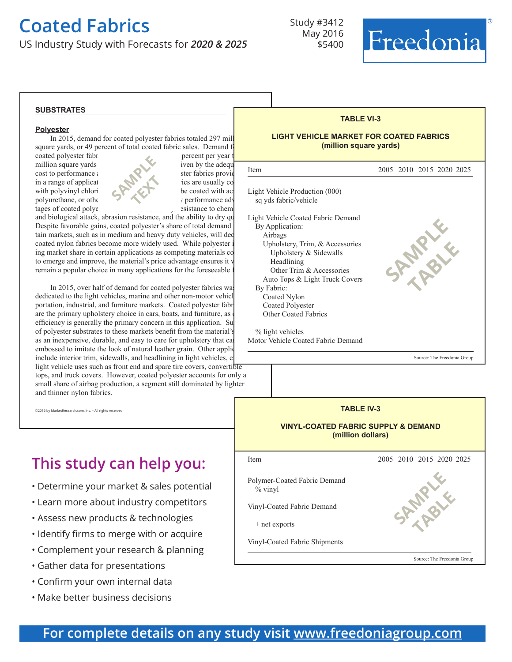US Industry Study with Forecasts for *2020 & 2025*

Study #3412 May 2016 \$5400

Motor Vehicle Coated Fabric Demand 



#### **substrates**

#### **Polyester**

In 2015, demand for coated polyester fabrics totaled 297 mill square yards, or 49 percent of total coated fabric sales. Demand f coated polyester fabrics is percent per year to grow 2.3 percent per year to 33232.3 percent per year to 33232

million square yards in 2020. Growth will be deep in 2020. Growth will be deep in 2020. Growth will be deep in 2020. Growth will be deep in 2020. Growth will be deep in 2020. Growth will be deep in 2020. Growth will be def cost to performance attributes ratio cost to performance at the state of the state providence of the state providence of the state providence of the state providence of the state providence of the state providence of the s  $\sum_{n=1}^{\infty}$  ics are usually co with polyvinyl chloride  $\mathbb{R}$  be coated with acrylic, but may be coated with acrylic,  $\mathbb{R}$ polyurethane, or other materials. And the key performance advance and the key performance advance and the key performance and the key performance and the key performance and the key performance and the key performance and



and biological attack, abrasion resistance, and the ability to dry qu Despite favorable gains, coated polyester's share of total demand tain markets, such as in medium and heavy duty vehicles, will dec coated nylon fabrics become more widely used. While polyester i ing market share in certain applications as competing materials co to emerge and improve, the material's price advantage ensures it v remain a popular choice in many applications for the foreseeable is

 In 2015, over half of demand for coated polyester fabrics was dedicated to the light vehicles, marine and other non-motor vehicl portation, industrial, and furniture markets. Coated polyester fabr are the primary upholstery choice in cars, boats, and furniture, as efficiency is generally the primary concern in this application. Su of polyester substrates to these markets benefit from the material's as an inexpensive, durable, and easy to care for upholstery that can embossed to imitate the look of natural leather grain. Other applic include interior trim, sidewalls, and headlining in light vehicles, et light vehicle uses such as front end and spare tire covers, convertible tops, and truck covers. However, coated polyester accounts for only a small share of airbag production, a segment still dominated by lighter and thinner nylon fabrics.

 ©2016 by MarketResearch.com, Inc. – All rights reserved

# **This study can help you:**

- Determine your market & sales potential
- Learn more about industry competitors
- Assess new products & technologies
- Identify firms to merge with or acquire
- Complement your research & planning
- Gather data for presentations
- Confirm your own internal data
- Make better business decisions



Source: The Freedonia Group



## **For complete details on any study visit [www.freedoniagroup.com](http://www.freedoniagroup.com/)**